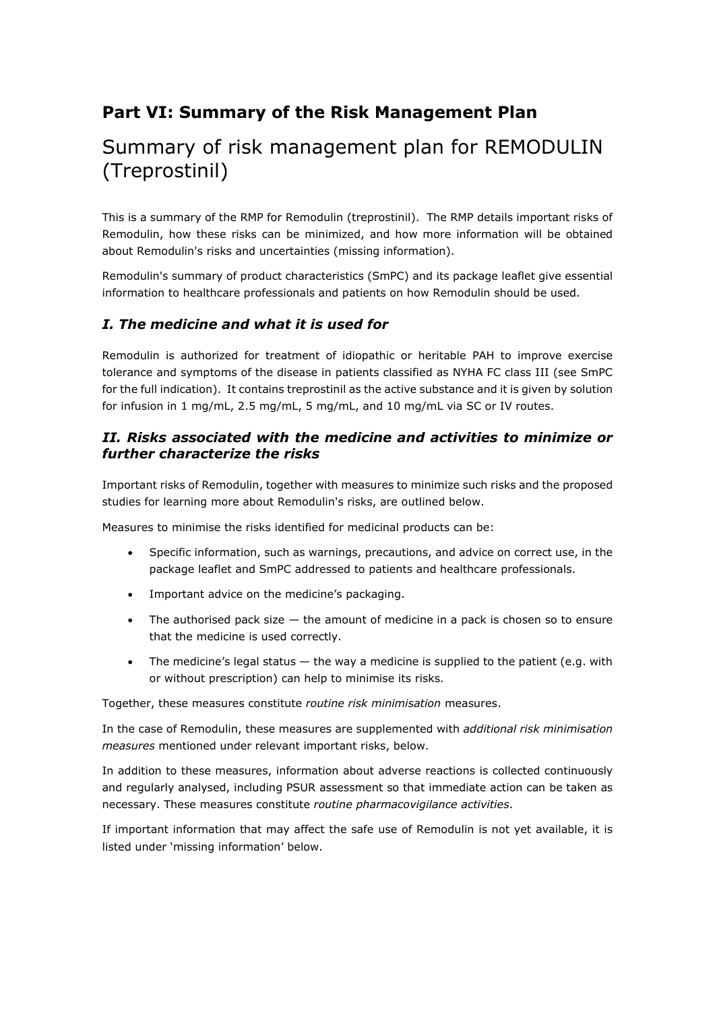## **Part VI: Summary of the Risk Management Plan**

# Summary of risk management plan for REMODULIN (Treprostinil)

This is a summary of the RMP for Remodulin (treprostinil). The RMP details important risks of Remodulin, how these risks can be minimized, and how more information will be obtained about Remodulin's risks and uncertainties (missing information).

Remodulin's summary of product characteristics (SmPC) and its package leaflet give essential information to healthcare professionals and patients on how Remodulin should be used.

#### *I. The medicine and what it is used for*

Remodulin is authorized for treatment of idiopathic or heritable PAH to improve exercise tolerance and symptoms of the disease in patients classified as NYHA FC class III (see SmPC for the full indication). It contains treprostinil as the active substance and it is given by solution for infusion in 1 mg/mL, 2.5 mg/mL, 5 mg/mL, and 10 mg/mL via SC or IV routes.

#### *II. Risks associated with the medicine and activities to minimize or further characterize the risks*

Important risks of Remodulin, together with measures to minimize such risks and the proposed studies for learning more about Remodulin's risks, are outlined below.

Measures to minimise the risks identified for medicinal products can be:

- Specific information, such as warnings, precautions, and advice on correct use, in the package leaflet and SmPC addressed to patients and healthcare professionals.
- Important advice on the medicine's packaging.
- The authorised pack size  $-$  the amount of medicine in a pack is chosen so to ensure that the medicine is used correctly.
- The medicine's legal status  $-$  the way a medicine is supplied to the patient (e.g. with or without prescription) can help to minimise its risks.

Together, these measures constitute *routine risk minimisation* measures.

In the case of Remodulin, these measures are supplemented with *additional risk minimisation measures* mentioned under relevant important risks, below.

In addition to these measures, information about adverse reactions is collected continuously and regularly analysed, including PSUR assessment so that immediate action can be taken as necessary. These measures constitute *routine pharmacovigilance activities*.

If important information that may affect the safe use of Remodulin is not yet available, it is listed under 'missing information' below.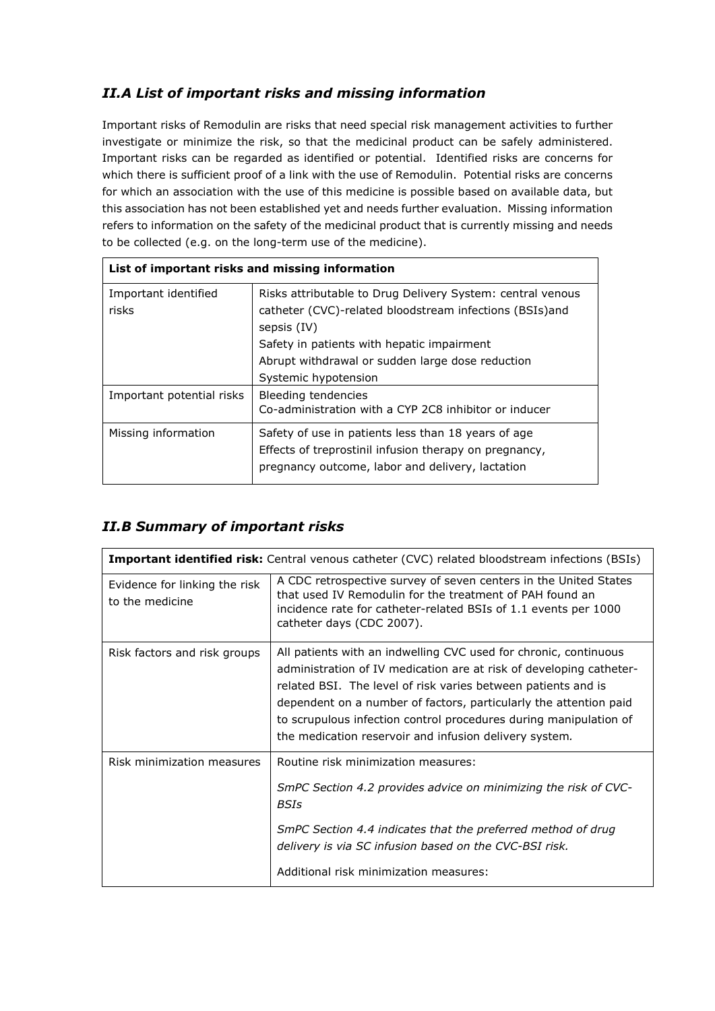## *II.A List of important risks and missing information*

Important risks of Remodulin are risks that need special risk management activities to further investigate or minimize the risk, so that the medicinal product can be safely administered. Important risks can be regarded as identified or potential. Identified risks are concerns for which there is sufficient proof of a link with the use of Remodulin. Potential risks are concerns for which an association with the use of this medicine is possible based on available data, but this association has not been established yet and needs further evaluation. Missing information refers to information on the safety of the medicinal product that is currently missing and needs to be collected (e.g. on the long-term use of the medicine).

| List of important risks and missing information |                                                                                                                                                                                                                                                                |
|-------------------------------------------------|----------------------------------------------------------------------------------------------------------------------------------------------------------------------------------------------------------------------------------------------------------------|
| Important identified<br>risks                   | Risks attributable to Drug Delivery System: central venous<br>catheter (CVC)-related bloodstream infections (BSIs)and<br>sepsis (IV)<br>Safety in patients with hepatic impairment<br>Abrupt withdrawal or sudden large dose reduction<br>Systemic hypotension |
| Important potential risks                       | Bleeding tendencies<br>Co-administration with a CYP 2C8 inhibitor or inducer                                                                                                                                                                                   |
| Missing information                             | Safety of use in patients less than 18 years of age<br>Effects of treprostinil infusion therapy on pregnancy,<br>pregnancy outcome, labor and delivery, lactation                                                                                              |

#### *II.B Summary of important risks*

| <b>Important identified risk:</b> Central venous catheter (CVC) related bloodstream infections (BSIs) |                                                                                                                                                                                                                                                                                                                                                                                                              |
|-------------------------------------------------------------------------------------------------------|--------------------------------------------------------------------------------------------------------------------------------------------------------------------------------------------------------------------------------------------------------------------------------------------------------------------------------------------------------------------------------------------------------------|
| Evidence for linking the risk<br>to the medicine                                                      | A CDC retrospective survey of seven centers in the United States<br>that used IV Remodulin for the treatment of PAH found an<br>incidence rate for catheter-related BSIs of 1.1 events per 1000<br>catheter days (CDC 2007).                                                                                                                                                                                 |
| Risk factors and risk groups                                                                          | All patients with an indwelling CVC used for chronic, continuous<br>administration of IV medication are at risk of developing catheter-<br>related BSI. The level of risk varies between patients and is<br>dependent on a number of factors, particularly the attention paid<br>to scrupulous infection control procedures during manipulation of<br>the medication reservoir and infusion delivery system. |
| Risk minimization measures                                                                            | Routine risk minimization measures:<br>SmPC Section 4.2 provides advice on minimizing the risk of CVC-<br><b>BSIs</b><br>SmPC Section 4.4 indicates that the preferred method of drug<br>delivery is via SC infusion based on the CVC-BSI risk.<br>Additional risk minimization measures:                                                                                                                    |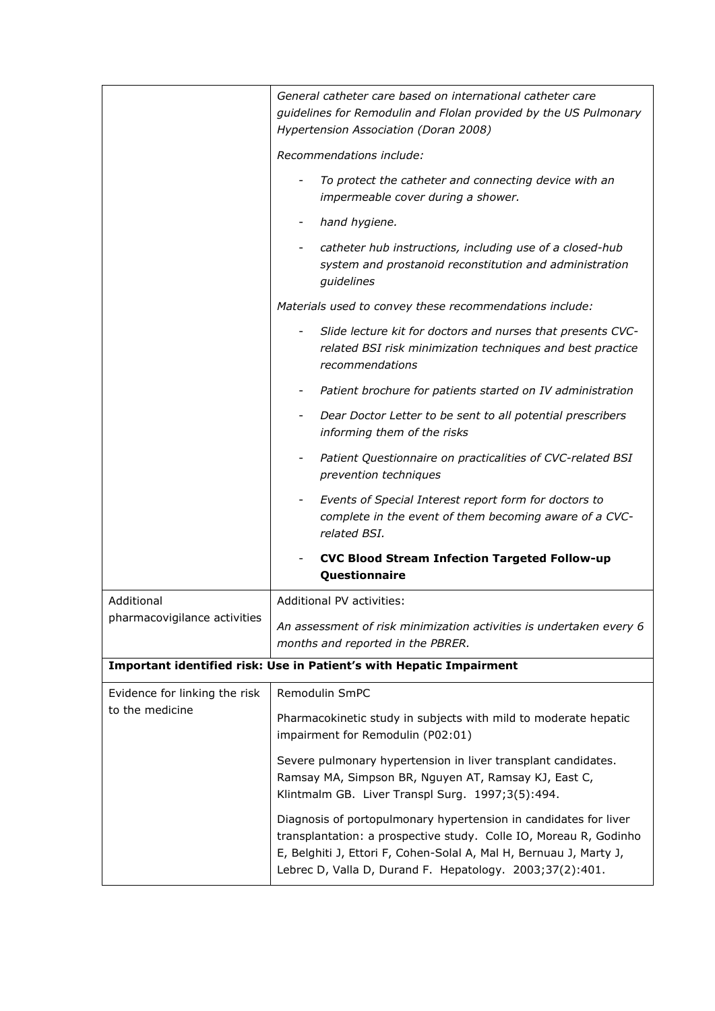|                                                                     | General catheter care based on international catheter care<br>guidelines for Remodulin and Flolan provided by the US Pulmonary<br>Hypertension Association (Doran 2008)                                                                                                 |
|---------------------------------------------------------------------|-------------------------------------------------------------------------------------------------------------------------------------------------------------------------------------------------------------------------------------------------------------------------|
|                                                                     | Recommendations include:                                                                                                                                                                                                                                                |
|                                                                     | To protect the catheter and connecting device with an<br>impermeable cover during a shower.                                                                                                                                                                             |
|                                                                     | hand hygiene.                                                                                                                                                                                                                                                           |
|                                                                     | catheter hub instructions, including use of a closed-hub<br>system and prostanoid reconstitution and administration<br>guidelines                                                                                                                                       |
|                                                                     | Materials used to convey these recommendations include:                                                                                                                                                                                                                 |
|                                                                     | Slide lecture kit for doctors and nurses that presents CVC-<br>related BSI risk minimization techniques and best practice<br>recommendations                                                                                                                            |
|                                                                     | Patient brochure for patients started on IV administration                                                                                                                                                                                                              |
|                                                                     | Dear Doctor Letter to be sent to all potential prescribers<br>informing them of the risks                                                                                                                                                                               |
|                                                                     | Patient Questionnaire on practicalities of CVC-related BSI<br>prevention techniques                                                                                                                                                                                     |
|                                                                     | Events of Special Interest report form for doctors to<br>complete in the event of them becoming aware of a CVC-<br>related BSI.                                                                                                                                         |
|                                                                     | <b>CVC Blood Stream Infection Targeted Follow-up</b><br>Questionnaire                                                                                                                                                                                                   |
| Additional                                                          | <b>Additional PV activities:</b>                                                                                                                                                                                                                                        |
| pharmacovigilance activities                                        | An assessment of risk minimization activities is undertaken every 6<br>months and reported in the PBRER.                                                                                                                                                                |
| Important identified risk: Use in Patient's with Hepatic Impairment |                                                                                                                                                                                                                                                                         |
| Evidence for linking the risk<br>to the medicine                    | Remodulin SmPC                                                                                                                                                                                                                                                          |
|                                                                     | Pharmacokinetic study in subjects with mild to moderate hepatic<br>impairment for Remodulin (P02:01)                                                                                                                                                                    |
|                                                                     | Severe pulmonary hypertension in liver transplant candidates.<br>Ramsay MA, Simpson BR, Nguyen AT, Ramsay KJ, East C,<br>Klintmalm GB. Liver Transpl Surg. 1997;3(5):494.                                                                                               |
|                                                                     | Diagnosis of portopulmonary hypertension in candidates for liver<br>transplantation: a prospective study. Colle IO, Moreau R, Godinho<br>E, Belghiti J, Ettori F, Cohen-Solal A, Mal H, Bernuau J, Marty J,<br>Lebrec D, Valla D, Durand F. Hepatology. 2003;37(2):401. |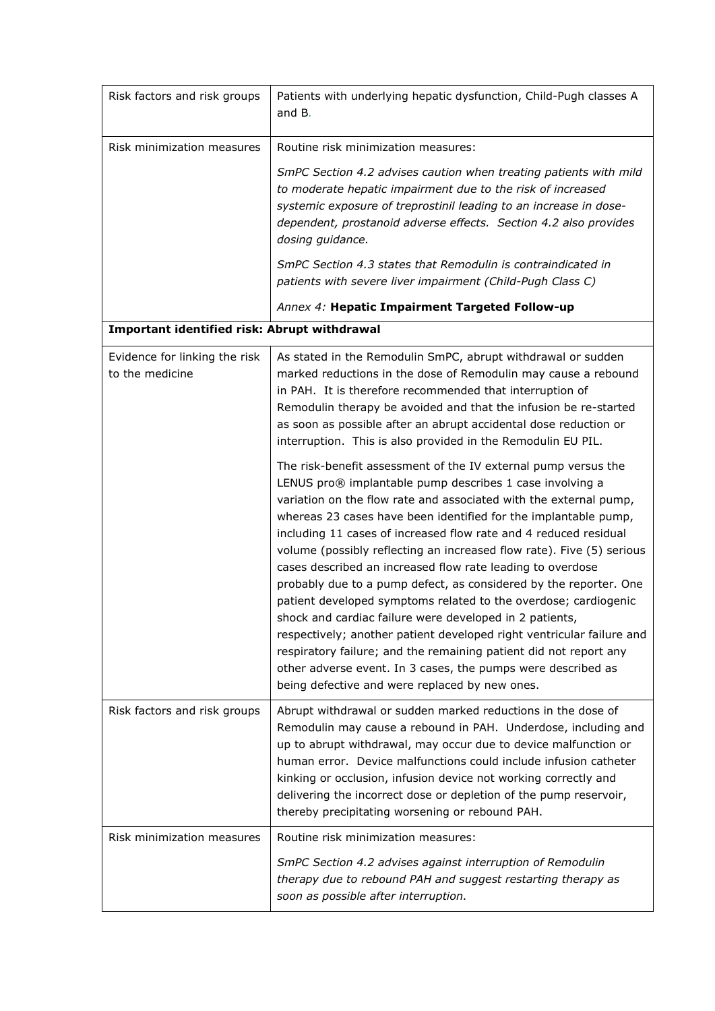| Risk factors and risk groups                     | Patients with underlying hepatic dysfunction, Child-Pugh classes A<br>and B.                                                                                                                                                                                                                                                                                                                                                                                                                                                                                                                                                                                                                                                                                                                                                                                                                                                                     |
|--------------------------------------------------|--------------------------------------------------------------------------------------------------------------------------------------------------------------------------------------------------------------------------------------------------------------------------------------------------------------------------------------------------------------------------------------------------------------------------------------------------------------------------------------------------------------------------------------------------------------------------------------------------------------------------------------------------------------------------------------------------------------------------------------------------------------------------------------------------------------------------------------------------------------------------------------------------------------------------------------------------|
| Risk minimization measures                       | Routine risk minimization measures:                                                                                                                                                                                                                                                                                                                                                                                                                                                                                                                                                                                                                                                                                                                                                                                                                                                                                                              |
|                                                  | SmPC Section 4.2 advises caution when treating patients with mild<br>to moderate hepatic impairment due to the risk of increased<br>systemic exposure of treprostinil leading to an increase in dose-<br>dependent, prostanoid adverse effects. Section 4.2 also provides<br>dosing guidance.                                                                                                                                                                                                                                                                                                                                                                                                                                                                                                                                                                                                                                                    |
|                                                  | SmPC Section 4.3 states that Remodulin is contraindicated in<br>patients with severe liver impairment (Child-Pugh Class C)                                                                                                                                                                                                                                                                                                                                                                                                                                                                                                                                                                                                                                                                                                                                                                                                                       |
|                                                  | Annex 4: Hepatic Impairment Targeted Follow-up                                                                                                                                                                                                                                                                                                                                                                                                                                                                                                                                                                                                                                                                                                                                                                                                                                                                                                   |
| Important identified risk: Abrupt withdrawal     |                                                                                                                                                                                                                                                                                                                                                                                                                                                                                                                                                                                                                                                                                                                                                                                                                                                                                                                                                  |
| Evidence for linking the risk<br>to the medicine | As stated in the Remodulin SmPC, abrupt withdrawal or sudden<br>marked reductions in the dose of Remodulin may cause a rebound<br>in PAH. It is therefore recommended that interruption of<br>Remodulin therapy be avoided and that the infusion be re-started<br>as soon as possible after an abrupt accidental dose reduction or<br>interruption. This is also provided in the Remodulin EU PIL.                                                                                                                                                                                                                                                                                                                                                                                                                                                                                                                                               |
|                                                  | The risk-benefit assessment of the IV external pump versus the<br>LENUS pro® implantable pump describes 1 case involving a<br>variation on the flow rate and associated with the external pump,<br>whereas 23 cases have been identified for the implantable pump,<br>including 11 cases of increased flow rate and 4 reduced residual<br>volume (possibly reflecting an increased flow rate). Five (5) serious<br>cases described an increased flow rate leading to overdose<br>probably due to a pump defect, as considered by the reporter. One<br>patient developed symptoms related to the overdose; cardiogenic<br>shock and cardiac failure were developed in 2 patients,<br>respectively; another patient developed right ventricular failure and<br>respiratory failure; and the remaining patient did not report any<br>other adverse event. In 3 cases, the pumps were described as<br>being defective and were replaced by new ones. |
| Risk factors and risk groups                     | Abrupt withdrawal or sudden marked reductions in the dose of<br>Remodulin may cause a rebound in PAH. Underdose, including and<br>up to abrupt withdrawal, may occur due to device malfunction or<br>human error. Device malfunctions could include infusion catheter<br>kinking or occlusion, infusion device not working correctly and<br>delivering the incorrect dose or depletion of the pump reservoir,<br>thereby precipitating worsening or rebound PAH.                                                                                                                                                                                                                                                                                                                                                                                                                                                                                 |
| Risk minimization measures                       | Routine risk minimization measures:<br>SmPC Section 4.2 advises against interruption of Remodulin<br>therapy due to rebound PAH and suggest restarting therapy as<br>soon as possible after interruption.                                                                                                                                                                                                                                                                                                                                                                                                                                                                                                                                                                                                                                                                                                                                        |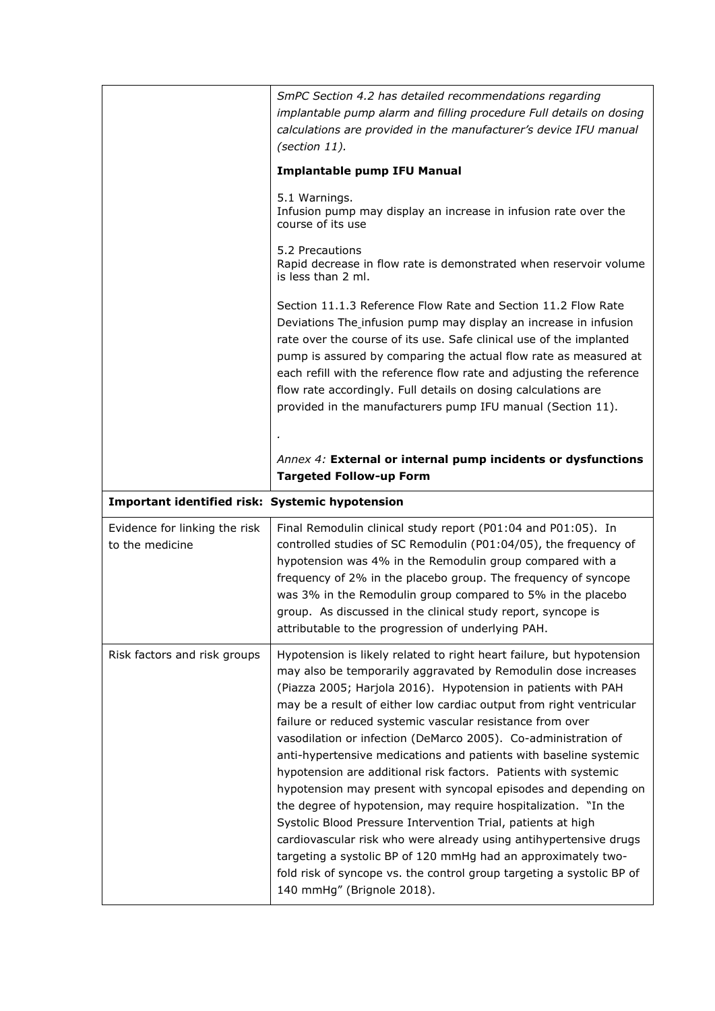|                                                  | SmPC Section 4.2 has detailed recommendations regarding<br>implantable pump alarm and filling procedure Full details on dosing<br>calculations are provided in the manufacturer's device IFU manual<br>(section 11).                                                                                                                                                                                                                                                                  |
|--------------------------------------------------|---------------------------------------------------------------------------------------------------------------------------------------------------------------------------------------------------------------------------------------------------------------------------------------------------------------------------------------------------------------------------------------------------------------------------------------------------------------------------------------|
|                                                  | <b>Implantable pump IFU Manual</b>                                                                                                                                                                                                                                                                                                                                                                                                                                                    |
|                                                  | 5.1 Warnings.<br>Infusion pump may display an increase in infusion rate over the<br>course of its use                                                                                                                                                                                                                                                                                                                                                                                 |
|                                                  | 5.2 Precautions<br>Rapid decrease in flow rate is demonstrated when reservoir volume<br>is less than 2 ml.                                                                                                                                                                                                                                                                                                                                                                            |
|                                                  | Section 11.1.3 Reference Flow Rate and Section 11.2 Flow Rate<br>Deviations The infusion pump may display an increase in infusion<br>rate over the course of its use. Safe clinical use of the implanted<br>pump is assured by comparing the actual flow rate as measured at<br>each refill with the reference flow rate and adjusting the reference<br>flow rate accordingly. Full details on dosing calculations are<br>provided in the manufacturers pump IFU manual (Section 11). |
|                                                  | Annex 4: External or internal pump incidents or dysfunctions<br><b>Targeted Follow-up Form</b>                                                                                                                                                                                                                                                                                                                                                                                        |
|                                                  |                                                                                                                                                                                                                                                                                                                                                                                                                                                                                       |
|                                                  | Important identified risk: Systemic hypotension                                                                                                                                                                                                                                                                                                                                                                                                                                       |
| Evidence for linking the risk<br>to the medicine | Final Remodulin clinical study report (P01:04 and P01:05). In<br>controlled studies of SC Remodulin (P01:04/05), the frequency of<br>hypotension was 4% in the Remodulin group compared with a<br>frequency of 2% in the placebo group. The frequency of syncope<br>was 3% in the Remodulin group compared to 5% in the placebo<br>group. As discussed in the clinical study report, syncope is<br>attributable to the progression of underlying PAH.                                 |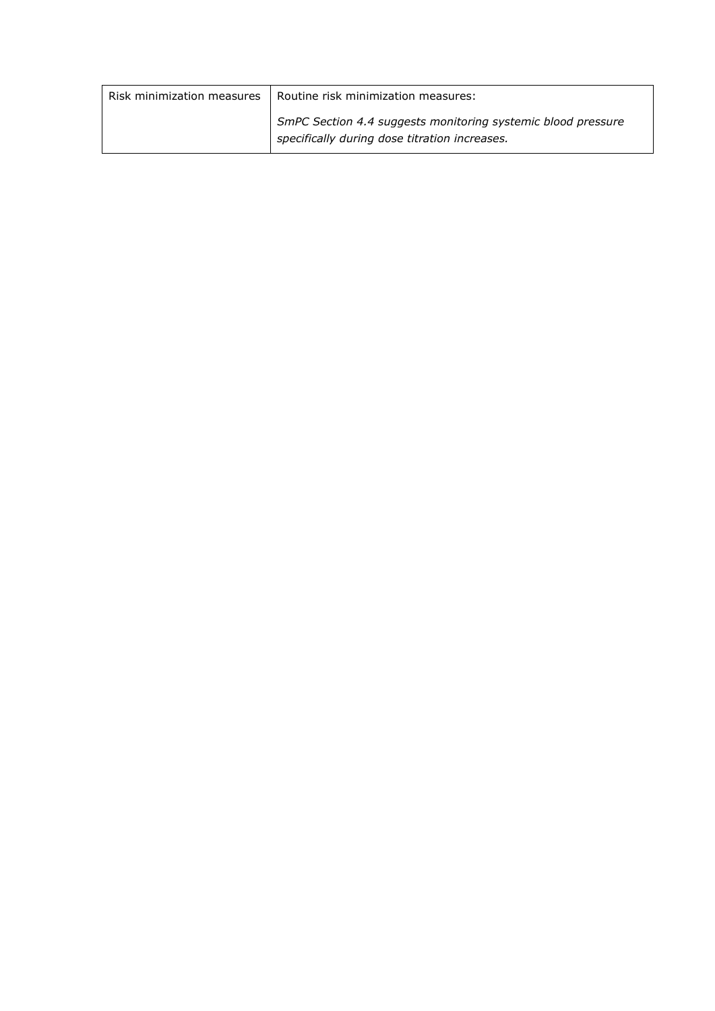| Risk minimization measures   Routine risk minimization measures:                                              |
|---------------------------------------------------------------------------------------------------------------|
| SmPC Section 4.4 suggests monitoring systemic blood pressure<br>specifically during dose titration increases. |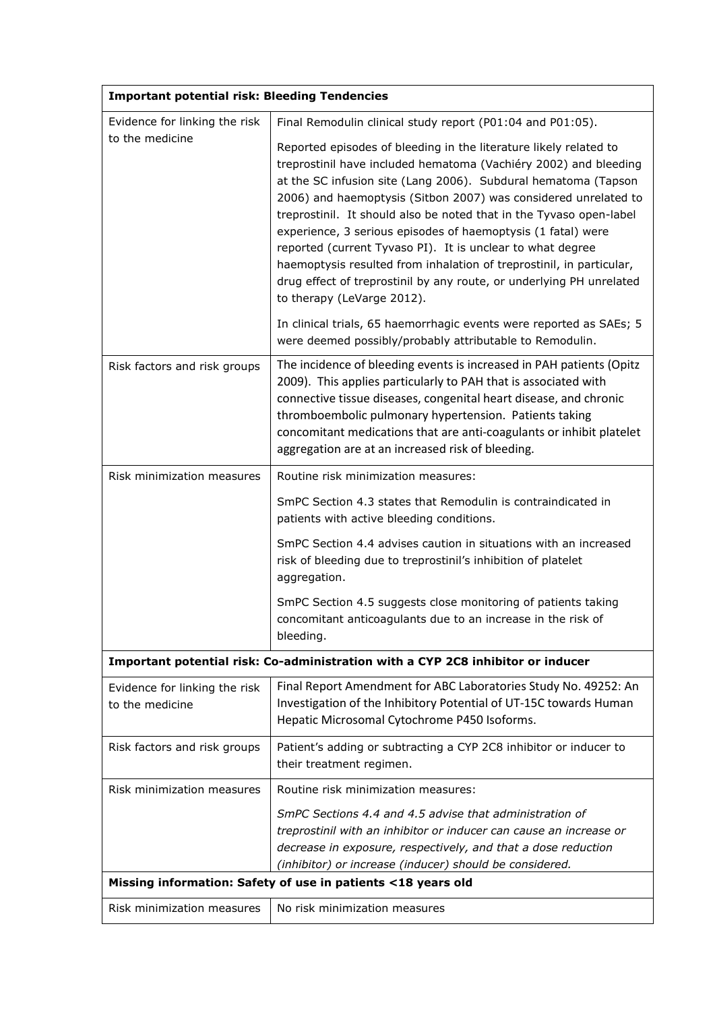| <b>Important potential risk: Bleeding Tendencies</b>                            |                                                                                                                                                                                                                                                                                                                                                                                                                                                                                                                                                                                                                                                               |
|---------------------------------------------------------------------------------|---------------------------------------------------------------------------------------------------------------------------------------------------------------------------------------------------------------------------------------------------------------------------------------------------------------------------------------------------------------------------------------------------------------------------------------------------------------------------------------------------------------------------------------------------------------------------------------------------------------------------------------------------------------|
| Evidence for linking the risk                                                   | Final Remodulin clinical study report (P01:04 and P01:05).                                                                                                                                                                                                                                                                                                                                                                                                                                                                                                                                                                                                    |
| to the medicine                                                                 | Reported episodes of bleeding in the literature likely related to<br>treprostinil have included hematoma (Vachiéry 2002) and bleeding<br>at the SC infusion site (Lang 2006). Subdural hematoma (Tapson<br>2006) and haemoptysis (Sitbon 2007) was considered unrelated to<br>treprostinil. It should also be noted that in the Tyvaso open-label<br>experience, 3 serious episodes of haemoptysis (1 fatal) were<br>reported (current Tyvaso PI). It is unclear to what degree<br>haemoptysis resulted from inhalation of treprostinil, in particular,<br>drug effect of treprostinil by any route, or underlying PH unrelated<br>to therapy (LeVarge 2012). |
|                                                                                 | In clinical trials, 65 haemorrhagic events were reported as SAEs; 5<br>were deemed possibly/probably attributable to Remodulin.                                                                                                                                                                                                                                                                                                                                                                                                                                                                                                                               |
| Risk factors and risk groups                                                    | The incidence of bleeding events is increased in PAH patients (Opitz<br>2009). This applies particularly to PAH that is associated with<br>connective tissue diseases, congenital heart disease, and chronic<br>thromboembolic pulmonary hypertension. Patients taking<br>concomitant medications that are anti-coagulants or inhibit platelet<br>aggregation are at an increased risk of bleeding.                                                                                                                                                                                                                                                           |
| Risk minimization measures                                                      | Routine risk minimization measures:                                                                                                                                                                                                                                                                                                                                                                                                                                                                                                                                                                                                                           |
|                                                                                 | SmPC Section 4.3 states that Remodulin is contraindicated in<br>patients with active bleeding conditions.                                                                                                                                                                                                                                                                                                                                                                                                                                                                                                                                                     |
|                                                                                 | SmPC Section 4.4 advises caution in situations with an increased<br>risk of bleeding due to treprostinil's inhibition of platelet<br>aggregation.                                                                                                                                                                                                                                                                                                                                                                                                                                                                                                             |
|                                                                                 | SmPC Section 4.5 suggests close monitoring of patients taking<br>concomitant anticoagulants due to an increase in the risk of<br>bleeding.                                                                                                                                                                                                                                                                                                                                                                                                                                                                                                                    |
| Important potential risk: Co-administration with a CYP 2C8 inhibitor or inducer |                                                                                                                                                                                                                                                                                                                                                                                                                                                                                                                                                                                                                                                               |
| Evidence for linking the risk<br>to the medicine                                | Final Report Amendment for ABC Laboratories Study No. 49252: An<br>Investigation of the Inhibitory Potential of UT-15C towards Human<br>Hepatic Microsomal Cytochrome P450 Isoforms.                                                                                                                                                                                                                                                                                                                                                                                                                                                                          |
| Risk factors and risk groups                                                    | Patient's adding or subtracting a CYP 2C8 inhibitor or inducer to<br>their treatment regimen.                                                                                                                                                                                                                                                                                                                                                                                                                                                                                                                                                                 |
| Risk minimization measures                                                      | Routine risk minimization measures:                                                                                                                                                                                                                                                                                                                                                                                                                                                                                                                                                                                                                           |
|                                                                                 | SmPC Sections 4.4 and 4.5 advise that administration of<br>treprostinil with an inhibitor or inducer can cause an increase or<br>decrease in exposure, respectively, and that a dose reduction<br>(inhibitor) or increase (inducer) should be considered.                                                                                                                                                                                                                                                                                                                                                                                                     |
| Missing information: Safety of use in patients <18 years old                    |                                                                                                                                                                                                                                                                                                                                                                                                                                                                                                                                                                                                                                                               |
| Risk minimization measures                                                      | No risk minimization measures                                                                                                                                                                                                                                                                                                                                                                                                                                                                                                                                                                                                                                 |